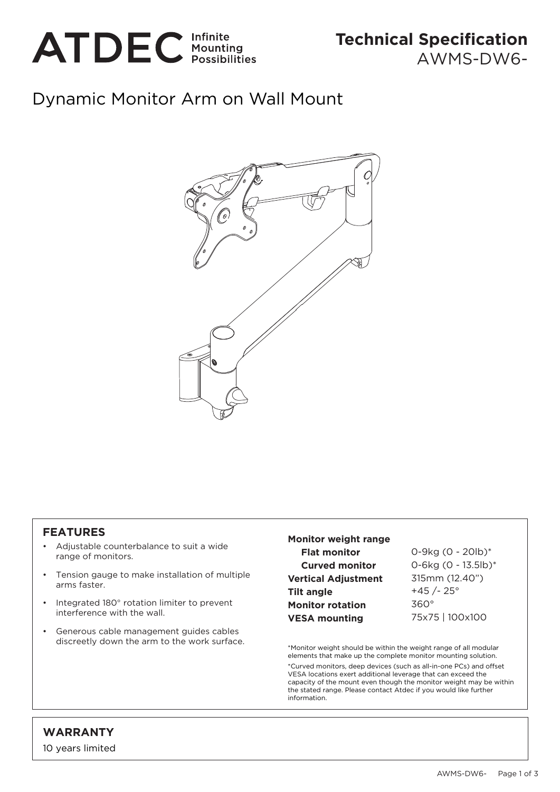

## Dynamic Monitor Arm on Wall Mount



## **FEATURES**

- Adjustable counterbalance to suit a wide range of monitors.
- Tension gauge to make installation of multiple arms faster.
- Integrated 180° rotation limiter to prevent interference with the wall.
- Generous cable management guides cables discreetly down the arm to the work surface.

## **Monitor weight range Flat monitor Curved monitor Vertical Adjustment Tilt angle Monitor rotation VESA mounting**

0-9kg (0 - 20lb)\* 0-6kg (0 - 13.5lb)\* 315mm (12.40")  $+45 / - 25$ ° 360° 75x75 | 100x100

\*Monitor weight should be within the weight range of all modular elements that make up the complete monitor mounting solution. \*Curved monitors, deep devices (such as all-in-one PCs) and offset VESA locations exert additional leverage that can exceed the capacity of the mount even though the monitor weight may be within the stated range. Please contact Atdec if you would like further information.

## **WARRANTY**

10 years limited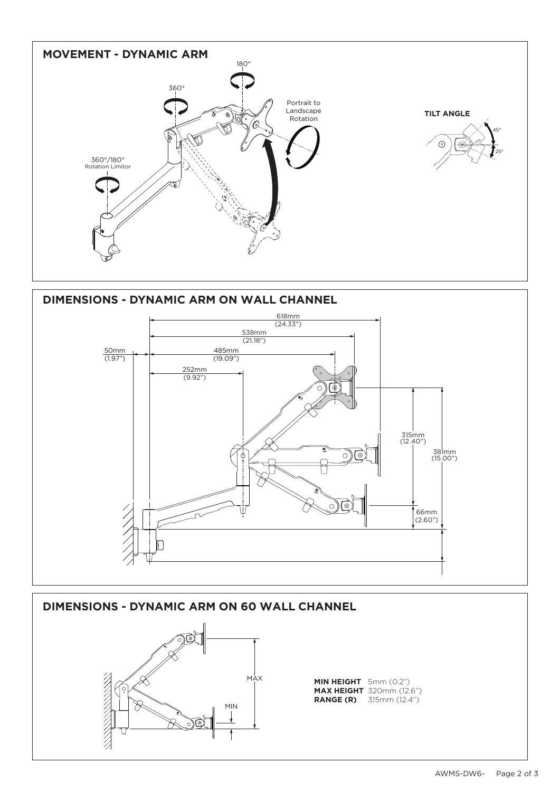